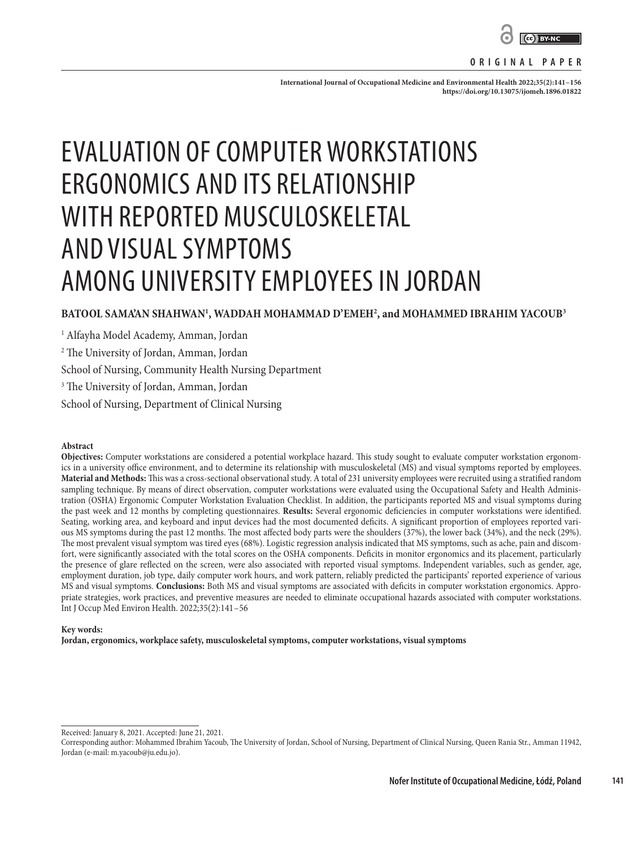

#### **ORIGINAL PAPER**

**International Journal of Occupational Medicine and Environmental Health 2022;35(2):141–156 <https://doi.org/10.13075/ijomeh.1896.01822>**

# EVALUATION OF COMPUTER WORKSTATIONS ERGONOMICS AND ITS RELATIONSHIP WITH REPORTED MUSCULOSKELETAL AND VISUAL SYMPTOMS AMONG UNIVERSITY EMPLOYEES IN JORDAN

# **BATOOL SAMA'AN SHAHWAN1 , WADDAH MOHAMMAD D'EMEH2 , and MOHAMMED IBRAHIM YACOUB3**

1 Alfayha Model Academy, Amman, Jordan

2 The University of Jordan, Amman, Jordan

School of Nursing, Community Health Nursing Department

3 The University of Jordan, Amman, Jordan

School of Nursing, Department of Clinical Nursing

#### **Abstract**

**Objectives:** Computer workstations are considered a potential workplace hazard. This study sought to evaluate computer workstation ergonomics in a university office environment, and to determine its relationship with musculoskeletal (MS) and visual symptoms reported by employees. **Material and Methods:** This was a cross-sectional observational study. A total of 231 university employees were recruited using a stratified random sampling technique. By means of direct observation, computer workstations were evaluated using the Occupational Safety and Health Administration (OSHA) Ergonomic Computer Workstation Evaluation Checklist. In addition, the participants reported MS and visual symptoms during the past week and 12 months by completing questionnaires. **Results:** Several ergonomic deficiencies in computer workstations were identified. Seating, working area, and keyboard and input devices had the most documented deficits. A significant proportion of employees reported various MS symptoms during the past 12 months. The most affected body parts were the shoulders (37%), the lower back (34%), and the neck (29%). The most prevalent visual symptom was tired eyes (68%). Logistic regression analysis indicated that MS symptoms, such as ache, pain and discomfort, were significantly associated with the total scores on the OSHA components. Deficits in monitor ergonomics and its placement, particularly the presence of glare reflected on the screen, were also associated with reported visual symptoms. Independent variables, such as gender, age, employment duration, job type, daily computer work hours, and work pattern, reliably predicted the participants' reported experience of various MS and visual symptoms. **Conclusions:** Both MS and visual symptoms are associated with deficits in computer workstation ergonomics. Appropriate strategies, work practices, and preventive measures are needed to eliminate occupational hazards associated with computer workstations. Int J Occup Med Environ Health. 2022;35(2):141–56

#### **Key words:**

**Jordan, ergonomics, workplace safety, musculoskeletal symptoms, computer workstations, visual symptoms**

Received: January 8, 2021. Accepted: June 21, 2021.

Corresponding author: Mohammed Ibrahim Yacoub, The University of Jordan, School of Nursing, Department of Clinical Nursing, Queen Rania Str., Amman 11942, Jordan (e-mail: m.yacoub@ju.edu.jo).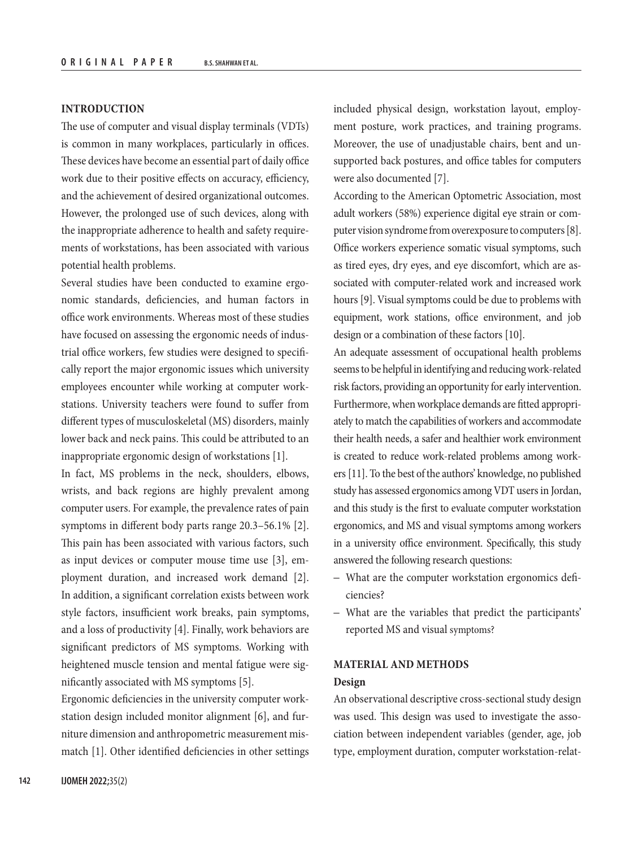# **INTRODUCTION**

The use of computer and visual display terminals (VDTs) is common in many workplaces, particularly in offices. These devices have become an essential part of daily office work due to their positive effects on accuracy, efficiency, and the achievement of desired organizational outcomes. However, the prolonged use of such devices, along with the inappropriate adherence to health and safety requirements of workstations, has been associated with various potential health problems.

Several studies have been conducted to examine ergonomic standards, deficiencies, and human factors in office work environments. Whereas most of these studies have focused on assessing the ergonomic needs of industrial office workers, few studies were designed to specifically report the major ergonomic issues which university employees encounter while working at computer workstations. University teachers were found to suffer from different types of musculoskeletal (MS) disorders, mainly lower back and neck pains. This could be attributed to an inappropriate ergonomic design of workstations [1].

In fact, MS problems in the neck, shoulders, elbows, wrists, and back regions are highly prevalent among computer users. For example, the prevalence rates of pain symptoms in different body parts range 20.3–56.1% [2]. This pain has been associated with various factors, such as input devices or computer mouse time use [3], employment duration, and increased work demand [2]. In addition, a significant correlation exists between work style factors, insufficient work breaks, pain symptoms, and a loss of productivity [4]. Finally, work behaviors are significant predictors of MS symptoms. Working with heightened muscle tension and mental fatigue were significantly associated with MS symptoms [5].

Ergonomic deficiencies in the university computer workstation design included monitor alignment [6], and furniture dimension and anthropometric measurement mismatch [1]. Other identified deficiencies in other settings

included physical design, workstation layout, employment posture, work practices, and training programs. Moreover, the use of unadjustable chairs, bent and unsupported back postures, and office tables for computers were also documented [7].

According to the American Optometric Association, most adult workers (58%) experience digital eye strain or computer vision syndrome from overexposure to computers [8]. Office workers experience somatic visual symptoms, such as tired eyes, dry eyes, and eye discomfort, which are associated with computer-related work and increased work hours [9]. Visual symptoms could be due to problems with equipment, work stations, office environment, and job design or a combination of these factors [10].

An adequate assessment of occupational health problems seems to be helpful in identifying and reducing work-related risk factors, providing an opportunity for early intervention. Furthermore, when workplace demands are fitted appropriately to match the capabilities of workers and accommodate their health needs, a safer and healthier work environment is created to reduce work-related problems among workers [11]. To the best of the authors' knowledge, no published study has assessed ergonomics among VDT users in Jordan, and this study is the first to evaluate computer workstation ergonomics, and MS and visual symptoms among workers in a university office environment. Specifically, this study answered the following research questions:

- What are the computer workstation ergonomics deficiencies?
- What are the variables that predict the participants' reported MS and visual symptoms?

# **MATERIAL AND METHODS**

# **Design**

An observational descriptive cross-sectional study design was used. This design was used to investigate the association between independent variables (gender, age, job type, employment duration, computer workstation-relat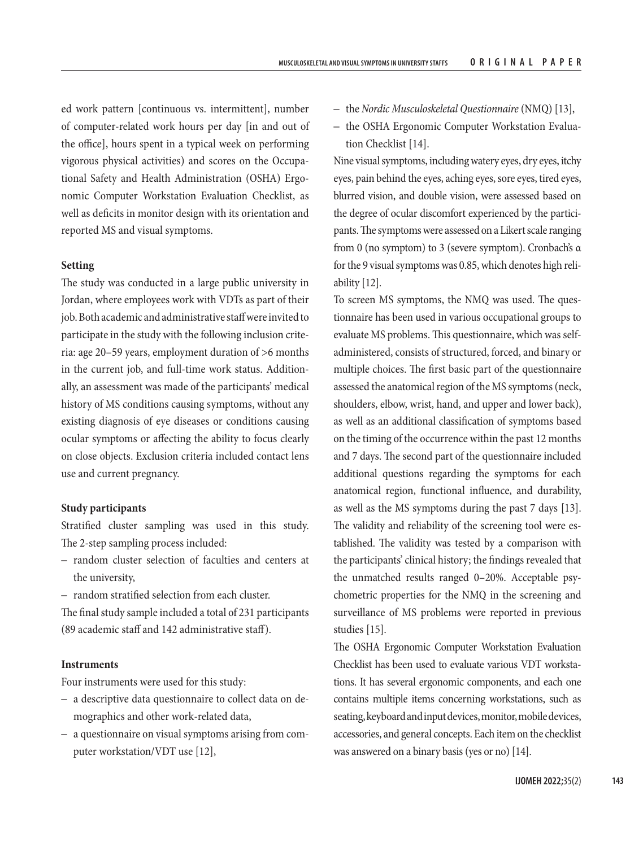ed work pattern [continuous vs. intermittent], number of computer-related work hours per day [in and out of the office], hours spent in a typical week on performing vigorous physical activities) and scores on the Occupational Safety and Health Administration (OSHA) Ergonomic Computer Workstation Evaluation Checklist, as well as deficits in monitor design with its orientation and reported MS and visual symptoms.

# **Setting**

The study was conducted in a large public university in Jordan, where employees work with VDTs as part of their job. Both academic and administrative staff were invited to participate in the study with the following inclusion criteria: age 20–59 years, employment duration of >6 months in the current job, and full-time work status. Additionally, an assessment was made of the participants' medical history of MS conditions causing symptoms, without any existing diagnosis of eye diseases or conditions causing ocular symptoms or affecting the ability to focus clearly on close objects. Exclusion criteria included contact lens use and current pregnancy.

# **Study participants**

Stratified cluster sampling was used in this study. The 2-step sampling process included:

- random cluster selection of faculties and centers at the university,
- random stratified selection from each cluster.

The final study sample included a total of 231 participants (89 academic staff and 142 administrative staff).

# **Instruments**

Four instruments were used for this study:

- a descriptive data questionnaire to collect data on demographics and other work-related data,
- a questionnaire on visual symptoms arising from computer workstation/VDT use [12],
- the *Nordic Musculoskeletal Questionnaire* (NMQ) [13],
- the OSHA Ergonomic Computer Workstation Evaluation Checklist [14].

Nine visual symptoms, including watery eyes, dry eyes, itchy eyes, pain behind the eyes, aching eyes, sore eyes, tired eyes, blurred vision, and double vision, were assessed based on the degree of ocular discomfort experienced by the participants. The symptoms were assessed on a Likert scale ranging from 0 (no symptom) to 3 (severe symptom). Cronbach's α for the 9 visual symptoms was 0.85, which denotes high reliability [12].

To screen MS symptoms, the NMQ was used. The questionnaire has been used in various occupational groups to evaluate MS problems. This questionnaire, which was selfadministered, consists of structured, forced, and binary or multiple choices. The first basic part of the questionnaire assessed the anatomical region of the MS symptoms (neck, shoulders, elbow, wrist, hand, and upper and lower back), as well as an additional classification of symptoms based on the timing of the occurrence within the past 12 months and 7 days. The second part of the questionnaire included additional questions regarding the symptoms for each anatomical region, functional influence, and durability, as well as the MS symptoms during the past 7 days [13]. The validity and reliability of the screening tool were established. The validity was tested by a comparison with the participants' clinical history; the findings revealed that the unmatched results ranged 0–20%. Acceptable psychometric properties for the NMQ in the screening and surveillance of MS problems were reported in previous studies [15].

The OSHA Ergonomic Computer Workstation Evaluation Checklist has been used to evaluate various VDT workstations. It has several ergonomic components, and each one contains multiple items concerning workstations, such as seating, keyboard and input devices, monitor, mobile devices, accessories, and general concepts. Each item on the checklist was answered on a binary basis (yes or no) [14].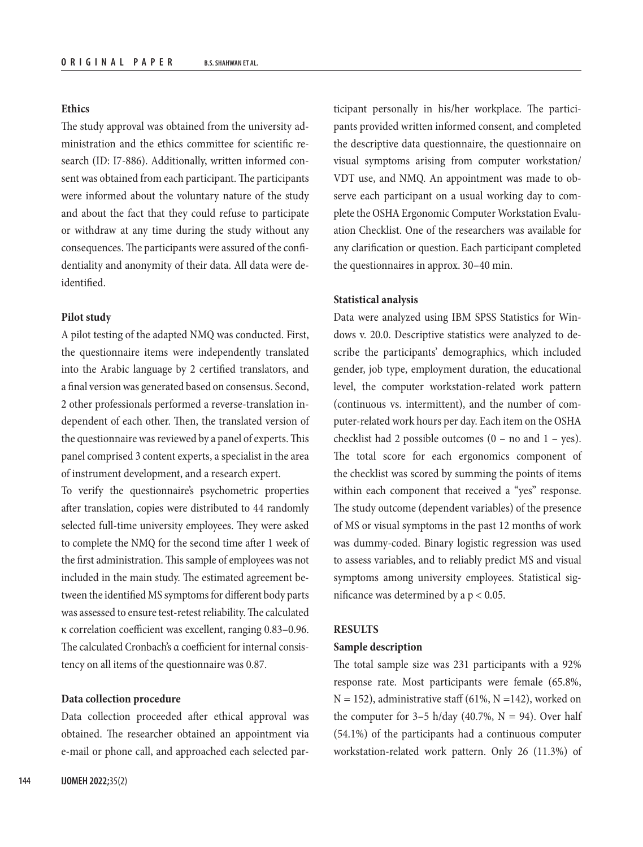# **Ethics**

The study approval was obtained from the university administration and the ethics committee for scientific research (ID: I7-886). Additionally, written informed consent was obtained from each participant. The participants were informed about the voluntary nature of the study and about the fact that they could refuse to participate or withdraw at any time during the study without any consequences. The participants were assured of the confidentiality and anonymity of their data. All data were deidentified.

#### **Pilot study**

A pilot testing of the adapted NMQ was conducted. First, the questionnaire items were independently translated into the Arabic language by 2 certified translators, and a final version was generated based on consensus. Second, 2 other professionals performed a reverse-translation independent of each other. Then, the translated version of the questionnaire was reviewed by a panel of experts. This panel comprised 3 content experts, a specialist in the area of instrument development, and a research expert.

To verify the questionnaire's psychometric properties after translation, copies were distributed to 44 randomly selected full-time university employees. They were asked to complete the NMQ for the second time after 1 week of the first administration. This sample of employees was not included in the main study. The estimated agreement between the identified MS symptoms for different body parts was assessed to ensure test-retest reliability. The calculated κ correlation coefficient was excellent, ranging 0.83–0.96. The calculated Cronbach's α coefficient for internal consistency on all items of the questionnaire was 0.87.

#### **Data collection procedure**

Data collection proceeded after ethical approval was obtained. The researcher obtained an appointment via e-mail or phone call, and approached each selected par-

ticipant personally in his/her workplace. The participants provided written informed consent, and completed the descriptive data questionnaire, the questionnaire on visual symptoms arising from computer workstation/ VDT use, and NMQ. An appointment was made to observe each participant on a usual working day to complete the OSHA Ergonomic Computer Workstation Evaluation Checklist. One of the researchers was available for any clarification or question. Each participant completed the questionnaires in approx. 30–40 min.

#### **Statistical analysis**

Data were analyzed using IBM SPSS Statistics for Windows v. 20.0. Descriptive statistics were analyzed to describe the participants' demographics, which included gender, job type, employment duration, the educational level, the computer workstation-related work pattern (continuous vs. intermittent), and the number of computer-related work hours per day. Each item on the OSHA checklist had 2 possible outcomes  $(0 - no$  and  $1 - yes)$ . The total score for each ergonomics component of the checklist was scored by summing the points of items within each component that received a "yes" response. The study outcome (dependent variables) of the presence of MS or visual symptoms in the past 12 months of work was dummy-coded. Binary logistic regression was used to assess variables, and to reliably predict MS and visual symptoms among university employees. Statistical significance was determined by a  $p < 0.05$ .

# **RESULTS**

# **Sample description**

The total sample size was 231 participants with a 92% response rate. Most participants were female (65.8%,  $N = 152$ ), administrative staff (61%,  $N = 142$ ), worked on the computer for  $3-5$  h/day (40.7%, N = 94). Over half (54.1%) of the participants had a continuous computer workstation-related work pattern. Only 26 (11.3%) of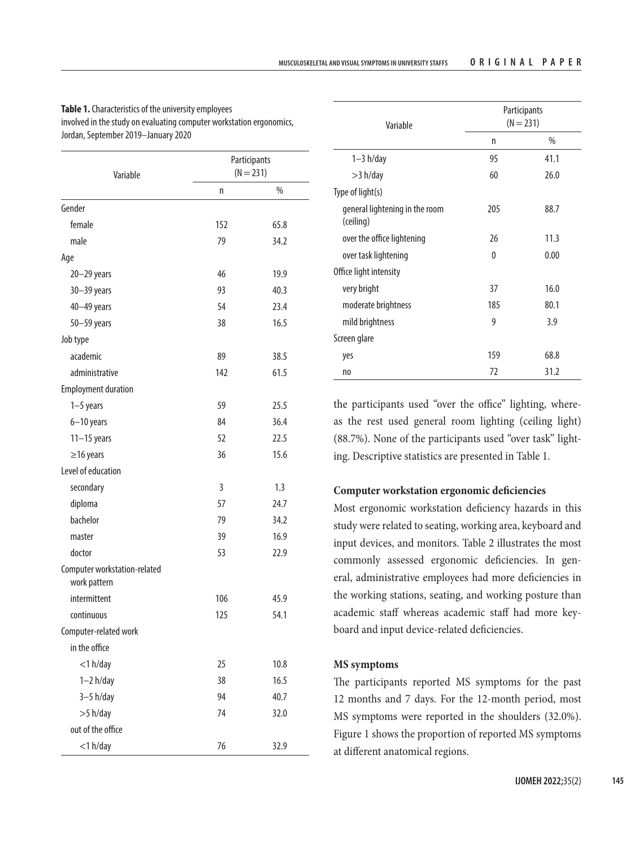| Variable                                     |     | Participants<br>$(N = 231)$ |
|----------------------------------------------|-----|-----------------------------|
|                                              | n   | %                           |
| Gender                                       |     |                             |
| female                                       | 152 | 65.8                        |
| male                                         | 79  | 34.2                        |
| Age                                          |     |                             |
| $20 - 29$ years                              | 46  | 19.9                        |
| $30 - 39$ years                              | 93  | 40.3                        |
| 40-49 years                                  | 54  | 23.4                        |
| $50 - 59$ years                              | 38  | 16.5                        |
| Job type                                     |     |                             |
| academic                                     | 89  | 38.5                        |
| administrative                               | 142 | 61.5                        |
| <b>Employment duration</b>                   |     |                             |
| $1-5$ years                                  | 59  | 25.5                        |
| $6 - 10$ years                               | 84  | 36.4                        |
| $11-15$ years                                | 52  | 22.5                        |
| $\geq$ 16 years                              | 36  | 15.6                        |
| Level of education                           |     |                             |
| secondary                                    | 3   | 1.3                         |
| diploma                                      | 57  | 24.7                        |
| bachelor                                     | 79  | 34.2                        |
| master                                       | 39  | 16.9                        |
| doctor                                       | 53  | 22.9                        |
| Computer workstation-related<br>work pattern |     |                             |
| intermittent                                 | 106 | 45.9                        |
| continuous                                   | 125 | 54.1                        |
| Computer-related work                        |     |                             |
| in the office                                |     |                             |
| $<$ 1 $h$ /day                               | 25  | 10.8                        |
| $1-2 h/day$                                  | 38  | 16.5                        |
| $3-5$ h/day                                  | 94  | 40.7                        |
| $>5$ h/day                                   | 74  | 32.0                        |
| out of the office                            |     |                             |
| $<$ 1 $h$ /day                               | 76  | 32.9                        |

| <b>Table 1.</b> Characteristics of the university emplovees          |
|----------------------------------------------------------------------|
| involved in the study on evaluating computer workstation ergonomics, |
| Jordan, September 2019—January 2020                                  |

| Variable                                    |     | Participants<br>$(N = 231)$ |
|---------------------------------------------|-----|-----------------------------|
|                                             | n   | %                           |
| $1-3 h/day$                                 | 95  | 41.1                        |
| $>3$ h/day                                  | 60  | 26.0                        |
| Type of light(s)                            |     |                             |
| general lightening in the room<br>(ceiling) | 205 | 88.7                        |
| over the office lightening                  | 26  | 11.3                        |
| over task lightening                        | 0   | 0.00                        |
| Office light intensity                      |     |                             |
| very bright                                 | 37  | 16.0                        |
| moderate brightness                         | 185 | 80.1                        |
| mild brightness                             | 9   | 3.9                         |
| Screen glare                                |     |                             |
| yes                                         | 159 | 68.8                        |
| no                                          | 72  | 31.2                        |

the participants used "over the office" lighting, whereas the rest used general room lighting (ceiling light) (88.7%). None of the participants used "over task" lighting. Descriptive statistics are presented in Table 1.

# **Computer workstation ergonomic deficiencies**

Most ergonomic workstation deficiency hazards in this study were related to seating, working area, keyboard and input devices, and monitors. Table 2 illustrates the most commonly assessed ergonomic deficiencies. In general, administrative employees had more deficiencies in the working stations, seating, and working posture than academic staff whereas academic staff had more keyboard and input device-related deficiencies.

# **MS symptoms**

The participants reported MS symptoms for the past 12 months and 7 days. For the 12-month period, most MS symptoms were reported in the shoulders (32.0%). Figure 1 shows the proportion of reported MS symptoms at different anatomical regions.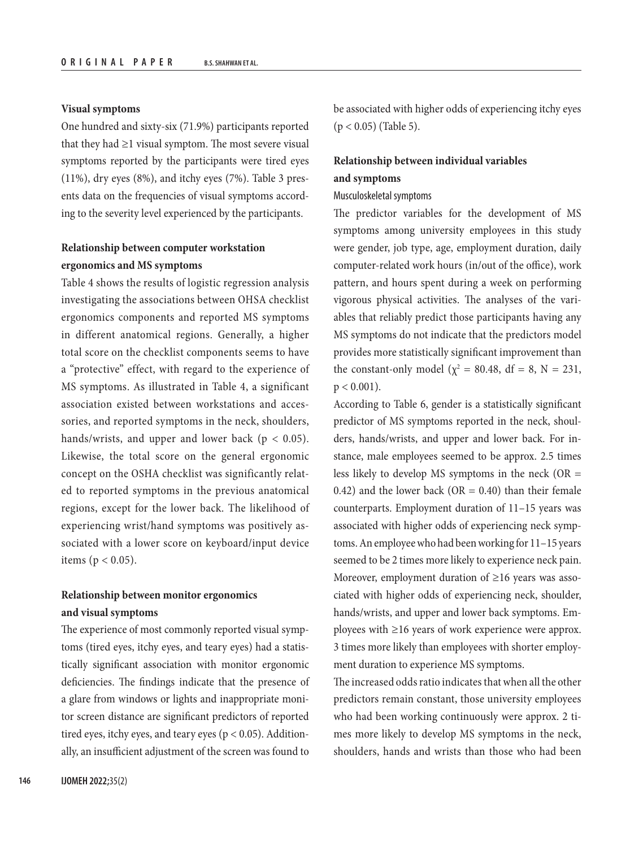#### **Visual symptoms**

One hundred and sixty-six (71.9%) participants reported that they had  $\geq$ 1 visual symptom. The most severe visual symptoms reported by the participants were tired eyes (11%), dry eyes (8%), and itchy eyes (7%). Table 3 presents data on the frequencies of visual symptoms according to the severity level experienced by the participants.

# **Relationship between computer workstation ergonomics and MS symptoms**

Table 4 shows the results of logistic regression analysis investigating the associations between OHSA checklist ergonomics components and reported MS symptoms in different anatomical regions. Generally, a higher total score on the checklist components seems to have a "protective" effect, with regard to the experience of MS symptoms. As illustrated in Table 4, a significant association existed between workstations and accessories, and reported symptoms in the neck, shoulders, hands/wrists, and upper and lower back ( $p < 0.05$ ). Likewise, the total score on the general ergonomic concept on the OSHA checklist was significantly related to reported symptoms in the previous anatomical regions, except for the lower back. The likelihood of experiencing wrist/hand symptoms was positively associated with a lower score on keyboard/input device items ( $p < 0.05$ ).

# **Relationship between monitor ergonomics and visual symptoms**

The experience of most commonly reported visual symptoms (tired eyes, itchy eyes, and teary eyes) had a statistically significant association with monitor ergonomic deficiencies. The findings indicate that the presence of a glare from windows or lights and inappropriate monitor screen distance are significant predictors of reported tired eyes, itchy eyes, and teary eyes ( $p < 0.05$ ). Additionally, an insufficient adjustment of the screen was found to be associated with higher odds of experiencing itchy eyes  $(p < 0.05)$  (Table 5).

# **Relationship between individual variables and symptoms**

#### Musculoskeletal symptoms

The predictor variables for the development of MS symptoms among university employees in this study were gender, job type, age, employment duration, daily computer-related work hours (in/out of the office), work pattern, and hours spent during a week on performing vigorous physical activities. The analyses of the variables that reliably predict those participants having any MS symptoms do not indicate that the predictors model provides more statistically significant improvement than the constant-only model ( $\chi^2 = 80.48$ , df = 8, N = 231,  $p < 0.001$ ).

According to Table 6, gender is a statistically significant predictor of MS symptoms reported in the neck, shoulders, hands/wrists, and upper and lower back. For instance, male employees seemed to be approx. 2.5 times less likely to develop MS symptoms in the neck  $(OR =$ 0.42) and the lower back (OR =  $0.40$ ) than their female counterparts. Employment duration of 11–15 years was associated with higher odds of experiencing neck symptoms. An employee who had been working for 11–15 years seemed to be 2 times more likely to experience neck pain. Moreover, employment duration of ≥16 years was associated with higher odds of experiencing neck, shoulder, hands/wrists, and upper and lower back symptoms. Employees with ≥16 years of work experience were approx. 3 times more likely than employees with shorter employment duration to experience MS symptoms.

The increased odds ratio indicates that when all the other predictors remain constant, those university employees who had been working continuously were approx. 2 times more likely to develop MS symptoms in the neck, shoulders, hands and wrists than those who had been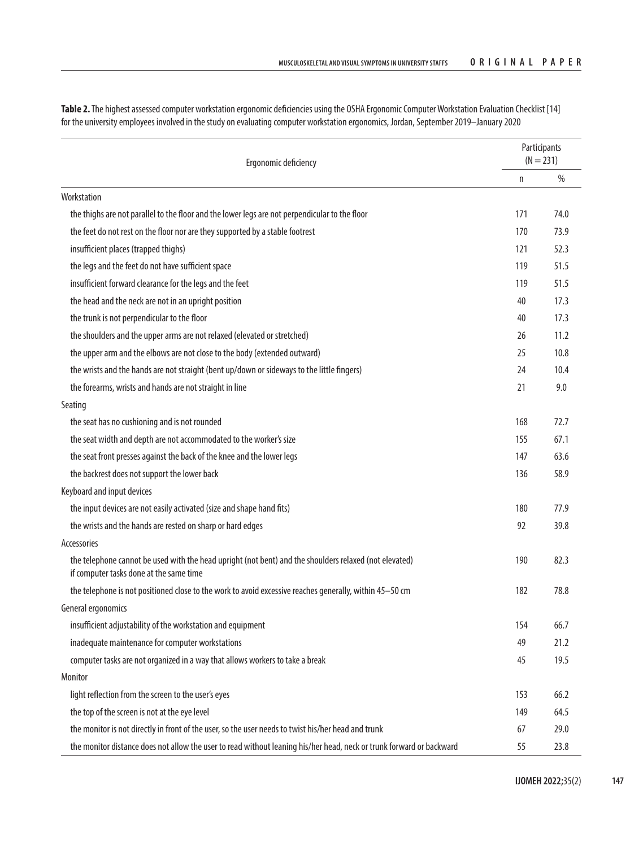| Table 2. The highest assessed computer workstation ergonomic deficiencies using the OSHA Ergonomic Computer Workstation Evaluation Checklist [14] |
|---------------------------------------------------------------------------------------------------------------------------------------------------|
| for the university employees involved in the study on evaluating computer workstation ergonomics, Jordan, September 2019—January 2020             |

|                                                                                                                                                   |     | Participants |
|---------------------------------------------------------------------------------------------------------------------------------------------------|-----|--------------|
| Ergonomic deficiency                                                                                                                              |     | $(N = 231)$  |
| Workstation                                                                                                                                       | n   | $\%$         |
| the thighs are not parallel to the floor and the lower legs are not perpendicular to the floor                                                    | 171 | 74.0         |
| the feet do not rest on the floor nor are they supported by a stable footrest                                                                     | 170 | 73.9         |
|                                                                                                                                                   | 121 | 52.3         |
| insufficient places (trapped thighs)                                                                                                              |     |              |
| the legs and the feet do not have sufficient space                                                                                                | 119 | 51.5         |
| insufficient forward clearance for the legs and the feet                                                                                          | 119 | 51.5         |
| the head and the neck are not in an upright position                                                                                              | 40  | 17.3         |
| the trunk is not perpendicular to the floor                                                                                                       | 40  | 17.3         |
| the shoulders and the upper arms are not relaxed (elevated or stretched)                                                                          | 26  | 11.2         |
| the upper arm and the elbows are not close to the body (extended outward)                                                                         | 25  | 10.8         |
| the wrists and the hands are not straight (bent up/down or sideways to the little fingers)                                                        | 24  | 10.4         |
| the forearms, wrists and hands are not straight in line                                                                                           | 21  | 9.0          |
| Seating                                                                                                                                           |     |              |
| the seat has no cushioning and is not rounded                                                                                                     | 168 | 72.7         |
| the seat width and depth are not accommodated to the worker's size                                                                                | 155 | 67.1         |
| the seat front presses against the back of the knee and the lower legs                                                                            | 147 | 63.6         |
| the backrest does not support the lower back                                                                                                      | 136 | 58.9         |
| Keyboard and input devices                                                                                                                        |     |              |
| the input devices are not easily activated (size and shape hand fits)                                                                             | 180 | 77.9         |
| the wrists and the hands are rested on sharp or hard edges                                                                                        | 92  | 39.8         |
| Accessories                                                                                                                                       |     |              |
| the telephone cannot be used with the head upright (not bent) and the shoulders relaxed (not elevated)<br>if computer tasks done at the same time | 190 | 82.3         |
| the telephone is not positioned close to the work to avoid excessive reaches generally, within 45-50 cm                                           | 182 | 78.8         |
| General ergonomics                                                                                                                                |     |              |
| insufficient adjustability of the workstation and equipment                                                                                       | 154 | 66.7         |
| inadequate maintenance for computer workstations                                                                                                  | 49  | 21.2         |
| computer tasks are not organized in a way that allows workers to take a break                                                                     | 45  | 19.5         |
| Monitor                                                                                                                                           |     |              |
| light reflection from the screen to the user's eyes                                                                                               | 153 | 66.2         |
| the top of the screen is not at the eye level                                                                                                     | 149 | 64.5         |
| the monitor is not directly in front of the user, so the user needs to twist his/her head and trunk                                               | 67  | 29.0         |
| the monitor distance does not allow the user to read without leaning his/her head, neck or trunk forward or backward                              | 55  | 23.8         |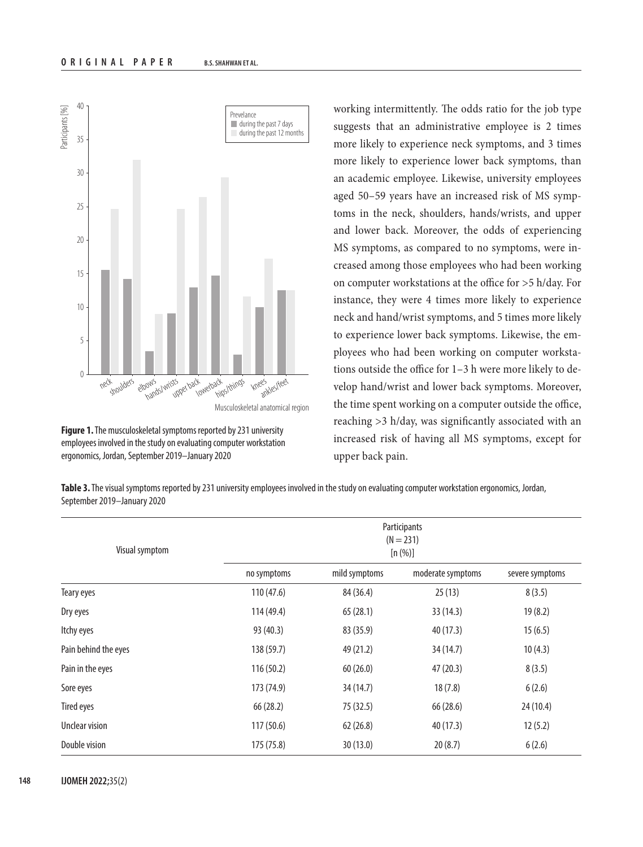

**Figure 1.** The musculoskeletal symptoms reported by 231 university employees involved in the study on evaluating computer workstation ergonomics, Jordan, September 2019–January 2020

working intermittently. The odds ratio for the job type suggests that an administrative employee is 2 times more likely to experience neck symptoms, and 3 times more likely to experience lower back symptoms, than an academic employee. Likewise, university employees aged 50–59 years have an increased risk of MS symptoms in the neck, shoulders, hands/wrists, and upper and lower back. Moreover, the odds of experiencing MS symptoms, as compared to no symptoms, were increased among those employees who had been working on computer workstations at the office for >5 h/day. For instance, they were 4 times more likely to experience neck and hand/wrist symptoms, and 5 times more likely to experience lower back symptoms. Likewise, the employees who had been working on computer workstations outside the office for 1–3 h were more likely to develop hand/wrist and lower back symptoms. Moreover, the time spent working on a computer outside the office, reaching >3 h/day, was significantly associated with an increased risk of having all MS symptoms, except for upper back pain.

**Table 3.** The visual symptoms reported by 231 university employees involved in the study on evaluating computer workstation ergonomics, Jordan, September 2019–January 2020

| Visual symptom       |             |               | Participants<br>$(N = 231)$<br>[n (%)] |                 |
|----------------------|-------------|---------------|----------------------------------------|-----------------|
|                      | no symptoms | mild symptoms | moderate symptoms                      | severe symptoms |
| Teary eyes           | 110(47.6)   | 84 (36.4)     | 25(13)                                 | 8(3.5)          |
| Dry eyes             | 114 (49.4)  | 65(28.1)      | 33(14.3)                               | 19(8.2)         |
| Itchy eyes           | 93 (40.3)   | 83 (35.9)     | 40 (17.3)                              | 15(6.5)         |
| Pain behind the eyes | 138 (59.7)  | 49 (21.2)     | 34(14.7)                               | 10(4.3)         |
| Pain in the eyes     | 116(50.2)   | 60(26.0)      | 47 (20.3)                              | 8(3.5)          |
| Sore eyes            | 173 (74.9)  | 34(14.7)      | 18(7.8)                                | 6(2.6)          |
| <b>Tired eyes</b>    | 66(28.2)    | 75 (32.5)     | 66 (28.6)                              | 24(10.4)        |
| Unclear vision       | 117(50.6)   | 62(26.8)      | 40(17.3)                               | 12(5.2)         |
| Double vision        | 175 (75.8)  | 30(13.0)      | 20(8.7)                                | 6(2.6)          |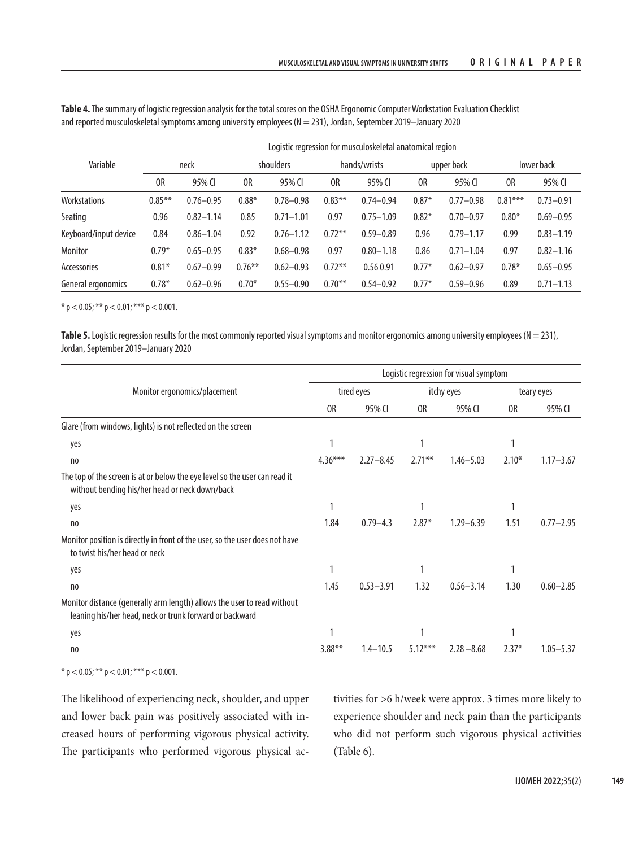|                       |                |               |           |               |           | Logistic regression for musculoskeletal anatomical region |         |               |           |               |
|-----------------------|----------------|---------------|-----------|---------------|-----------|-----------------------------------------------------------|---------|---------------|-----------|---------------|
| Variable              |                | neck          |           | shoulders     |           | hands/wrists                                              |         | upper back    |           | lower back    |
|                       | 0 <sub>R</sub> | 95% CI        | 0R        | 95% CI        | 0R        | 95% CI                                                    | 0R      | 95% CI        | 0R        | 95% CI        |
| Workstations          | $0.85***$      | $0.76 - 0.95$ | $0.88*$   | $0.78 - 0.98$ | $0.83***$ | $0.74 - 0.94$                                             | $0.87*$ | $0.77 - 0.98$ | $0.81***$ | $0.73 - 0.91$ |
| Seating               | 0.96           | $0.82 - 1.14$ | 0.85      | $0.71 - 1.01$ | 0.97      | $0.75 - 1.09$                                             | $0.82*$ | $0.70 - 0.97$ | $0.80*$   | $0.69 - 0.95$ |
| Keyboard/input device | 0.84           | $0.86 - 1.04$ | 0.92      | $0.76 - 1.12$ | $0.72***$ | $0.59 - 0.89$                                             | 0.96    | $0.79 - 1.17$ | 0.99      | $0.83 - 1.19$ |
| Monitor               | $0.79*$        | $0.65 - 0.95$ | $0.83*$   | $0.68 - 0.98$ | 0.97      | $0.80 - 1.18$                                             | 0.86    | $0.71 - 1.04$ | 0.97      | $0.82 - 1.16$ |
| Accessories           | $0.81*$        | $0.67 - 0.99$ | $0.76***$ | $0.62 - 0.93$ | $0.72***$ | 0.560.91                                                  | $0.77*$ | $0.62 - 0.97$ | $0.78*$   | $0.65 - 0.95$ |
| General ergonomics    | $0.78*$        | $0.62 - 0.96$ | $0.70*$   | $0.55 - 0.90$ | $0.70***$ | $0.54 - 0.92$                                             | $0.77*$ | $0.59 - 0.96$ | 0.89      | $0.71 - 1.13$ |

**Table 4.** The summary of logistic regression analysis for the total scores on the OSHA Ergonomic Computer Workstation Evaluation Checklist and reported musculoskeletal symptoms among university employees (N = 231), Jordan, September 2019–January 2020

\* p < 0.05; \*\* p < 0.01; \*\*\* p < 0.001.

**Table 5.** Logistic regression results for the most commonly reported visual symptoms and monitor ergonomics among university employees ( $N = 231$ ), Jordan, September 2019–January 2020

|                                                                                                                                    |                |               |           | Logistic regression for visual symptom |         |               |
|------------------------------------------------------------------------------------------------------------------------------------|----------------|---------------|-----------|----------------------------------------|---------|---------------|
| Monitor ergonomics/placement                                                                                                       |                | tired eyes    |           | itchy eyes                             |         | teary eyes    |
|                                                                                                                                    | 0 <sub>R</sub> | 95% CI        | 0R        | 95% CI                                 | 0R      | 95% CI        |
| Glare (from windows, lights) is not reflected on the screen                                                                        |                |               |           |                                        |         |               |
| yes                                                                                                                                |                |               |           |                                        |         |               |
| no                                                                                                                                 | $4.36***$      | $2.27 - 8.45$ | $2.71***$ | $1.46 - 5.03$                          | $2.10*$ | $1.17 - 3.67$ |
| The top of the screen is at or below the eye level so the user can read it<br>without bending his/her head or neck down/back       |                |               |           |                                        |         |               |
| yes                                                                                                                                |                |               |           |                                        |         |               |
| n <sub>0</sub>                                                                                                                     | 1.84           | $0.79 - 4.3$  | $2.87*$   | $1.29 - 6.39$                          | 1.51    | $0.77 - 2.95$ |
| Monitor position is directly in front of the user, so the user does not have<br>to twist his/her head or neck                      |                |               |           |                                        |         |               |
| yes                                                                                                                                |                |               | 1         |                                        |         |               |
| n <sub>0</sub>                                                                                                                     | 1.45           | $0.53 - 3.91$ | 1.32      | $0.56 - 3.14$                          | 1.30    | $0.60 - 2.85$ |
| Monitor distance (generally arm length) allows the user to read without<br>leaning his/her head, neck or trunk forward or backward |                |               |           |                                        |         |               |
| yes                                                                                                                                | 1              |               | 1         |                                        |         |               |
| no                                                                                                                                 | $3.88***$      | $1.4 - 10.5$  | $5.12***$ | $2.28 - 8.68$                          | $2.37*$ | $1.05 - 5.37$ |

 $*$  p < 0.05; \*\* p < 0.01; \*\*\* p < 0.001.

The likelihood of experiencing neck, shoulder, and upper and lower back pain was positively associated with increased hours of performing vigorous physical activity. The participants who performed vigorous physical activities for >6 h/week were approx. 3 times more likely to experience shoulder and neck pain than the participants who did not perform such vigorous physical activities (Table 6).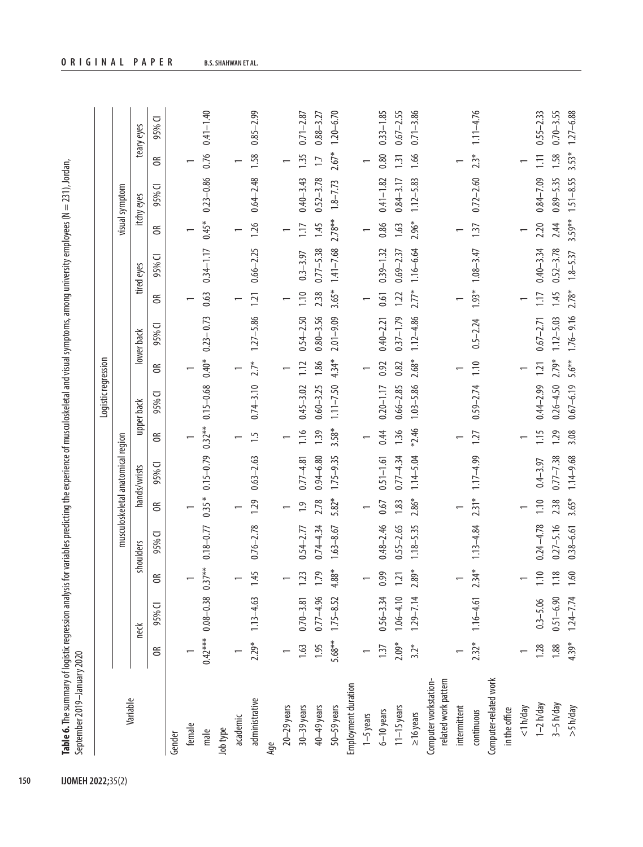| ¢<br>5<br>٦İ,                            |               |
|------------------------------------------|---------------|
| I                                        |               |
| ]<br>]<br>$\frac{1}{6}$                  |               |
| $\mathsf{I}$<br>ź                        |               |
| ;                                        |               |
| ļ<br>$\ddot{\phantom{a}}$                |               |
| j                                        |               |
| $\overline{\phantom{a}}$<br>1.00001<br>1 |               |
| 5                                        |               |
|                                          |               |
| à<br>Í                                   |               |
| Ó                                        |               |
|                                          |               |
| ţ<br>ı                                   |               |
| ļ                                        |               |
|                                          |               |
|                                          |               |
| $\ddot{\phantom{a}}$                     |               |
| i<br>j<br>ć                              |               |
| ţ                                        |               |
| ١<br>j                                   |               |
| ś                                        |               |
| į<br>١                                   |               |
|                                          |               |
| Ó<br>į                                   |               |
| i                                        |               |
| <br>ï                                    |               |
| <br>Ï                                    |               |
| Ś<br>Ì                                   |               |
| eqressiol                                |               |
| j                                        |               |
| i o ce i oli<br>١                        | $\frac{1}{2}$ |
| $\ddot{\phantom{0}}$                     | $\sim$        |
|                                          |               |
|                                          | l             |
| Ī                                        | í             |
|                                          | a ida         |
| ē<br>ī                                   |               |

|                                               |                        |                                |                      |               |                |                                   |                          | Logistic regression |                      |               |                            |               |                          |                |                      |               |
|-----------------------------------------------|------------------------|--------------------------------|----------------------|---------------|----------------|-----------------------------------|--------------------------|---------------------|----------------------|---------------|----------------------------|---------------|--------------------------|----------------|----------------------|---------------|
|                                               |                        |                                |                      |               |                | musculoskeletal anatomical region |                          |                     |                      |               |                            |               |                          | visual symptom |                      |               |
| Variable                                      |                        | neck                           |                      | shoulders     |                | hands/wrists                      |                          | upper back          |                      | lower back    |                            | tired eyes    |                          | itchy eyes     |                      | teary eyes    |
|                                               | $\widetilde{\epsilon}$ | 95% CI                         | $\widetilde{\sigma}$ | 95% CI        | $\epsilon$     | 95% CI                            | $\widetilde{\sigma}$     | 95% CI              | $\widetilde{\sigma}$ | 95% CI        | $\widetilde{\mathfrak{S}}$ | 95% CI        | $\widetilde{\sigma}$     | 95% CI         | $\widetilde{\sigma}$ | 95% CI        |
| Gender                                        |                        |                                |                      |               |                |                                   |                          |                     |                      |               |                            |               |                          |                |                      |               |
| female                                        |                        |                                |                      |               |                |                                   |                          |                     |                      |               |                            |               |                          |                |                      |               |
| male                                          |                        | $0.42***$ $0.08-0.38$ $0.37**$ |                      | $0.18 - 0.77$ | $0.35*$        | $0.15 - 0.79$                     | $0.32***$                | $0.15 - 0.68$       | $0.40*$              | $0.23 - 0.73$ | 0.63                       | $0.34 - 1.17$ | $0.45*$                  | $0.23 - 0.86$  | 0.76                 | $0.41 - 1.40$ |
| Job type                                      |                        |                                |                      |               |                |                                   |                          |                     |                      |               |                            |               |                          |                |                      |               |
| academic                                      |                        |                                |                      |               |                |                                   |                          |                     |                      |               |                            |               |                          |                |                      |               |
| administrative                                | $2.29*$                | $1.13 - 4.63$                  | 1.45                 | $0.76 - 2.78$ | 1.29           | $0.63 - 2.63$                     | $\ddot{ }$               | $0.74 - 3.10$       | $2.7*$               | $1.27 - 5.86$ | 1.21                       | $0.66 - 2.25$ | 1.26                     | $0.64 - 2.48$  | 1.58                 | $0.85 - 2.99$ |
| Age                                           |                        |                                |                      |               |                |                                   |                          |                     |                      |               |                            |               |                          |                |                      |               |
| $20-29$ years                                 |                        |                                |                      |               | $\overline{ }$ |                                   | $\overline{\phantom{0}}$ |                     |                      |               |                            |               | $\overline{\phantom{0}}$ |                |                      |               |
| $30-39$ years                                 | 1.63                   | $0.70 - 3.81$                  | 1.23                 | $0.54 - 2.77$ | $\ddot{5}$     | $0.77 - 4.81$                     | 1.16                     | $0.45 - 3.02$       | 1.12                 | $0.54 - 2.50$ | 1.10                       | $0.3 - 3.97$  | 1.17                     | $0.40 - 3.43$  | 1.35                 | $0.71 - 2.87$ |
| 40-49 years                                   | 1.95                   | $0.77 - 4.96$                  | 1.79                 | $0.74 - 4.34$ | 2.78           | $0.94 - 6.80$                     | 1.39                     | $0.60 - 3.25$       | 1.86                 | $0.80 - 3.56$ | 2.38                       | $0.77 - 5.38$ | 1.45                     | $0.52 - 3.78$  | $\overline{11}$      | $0.88 - 3.27$ |
| $50 - 59$ years                               | 5.68**                 | $1.75 - 8.52$                  | $4.88*$              | $1.63 - 8.67$ | 5.82*          | $1.75 - 9.35$                     | $3.58*$                  | $1.11 - 7.50$       | $4.34*$              | $2.01 - 9.09$ | $3.65*$                    | $1.41 - 7.68$ | $2.78**$                 | $1.8 - 7.73$   | $2.67*$              | $1.20 - 6.70$ |
| Employment duration                           |                        |                                |                      |               |                |                                   |                          |                     |                      |               |                            |               |                          |                |                      |               |
| $1 - 5$ years                                 |                        |                                |                      |               |                |                                   |                          |                     |                      |               |                            |               |                          |                |                      |               |
| $6 - 10$ years                                | 1.37                   | $0.56 - 3.34$                  | 0.99                 | $0.48 - 2.46$ | 0.67           | $0.51 - 1.61$                     | 0.44                     | $0.20 - 1.17$       | 0.92                 | $0.40 - 2.21$ | 0.61                       | $0.39 - 1.32$ | 0.86                     | $0.41 - 1.82$  | 0.80                 | $0.33 - 1.85$ |
| $11 - 15$ years                               | $2.09*$                | $1.06 - 4.10$                  | 1.21                 | $0.55 - 2.65$ | 1.83           | $0.77 - 4.34$                     | 1.36                     | $0.66 - 2.85$       | 0.82                 | $0.37 - 1.79$ | 1.22                       | $0.69 - 2.37$ | 1.63                     | $0.84 - 3.17$  | 131                  | $0.67 - 2.55$ |
| $\geq 16$ years                               | $3.2*$                 | $1.29 - 7.14$                  | $2.89*$              | $1.18 - 5.35$ | 2.86*          | $1.14 - 5.04$                     | *2.46                    | $1.03 - 5.86$       | $2.68*$              | $1.12 - 4.86$ | $2.77*$                    | $1.16 - 6.64$ | 2.96*                    | $1.12 - 5.83$  | 1.66                 | $0.71 - 3.86$ |
| related work pattern<br>Computer workstation- |                        |                                |                      |               |                |                                   |                          |                     |                      |               |                            |               |                          |                |                      |               |
| intermittent                                  |                        |                                |                      |               |                |                                   |                          |                     |                      |               |                            |               |                          |                |                      |               |
| continuous                                    | $2.32*$                | $1.16 - 4.61$                  | $2.34*$              | $1.13 - 4.84$ | $2.31*$        | $1.17 - 4.99$                     | 1.27                     | $0.59 - 2.74$       | 1.10                 | $0.5 - 2.24$  | 1.93*                      | $1.08 - 3.47$ | 1.37                     | $0.72 - 2.60$  | $2.3*$               | $1.11 - 4.76$ |
| Computer-related work                         |                        |                                |                      |               |                |                                   |                          |                     |                      |               |                            |               |                          |                |                      |               |
| in the office                                 |                        |                                |                      |               |                |                                   |                          |                     |                      |               |                            |               |                          |                |                      |               |
| $<$ 1 h/day                                   |                        |                                |                      |               |                |                                   |                          |                     |                      |               |                            |               |                          |                |                      |               |
| $1 - 2 h/day$                                 | 1.28                   | $0.3 - 5.06$                   | 1.10                 | $0.24 - 4.78$ | 1.10           | $0.4 - 3.97$                      | 1.15                     | $0.44 - 2.99$       | 1.21                 | $0.67 - 2.71$ | $\overline{11}$            | $0.40 - 3.34$ | 2.20                     | $0.84 - 7.09$  | $\Xi$                | $0.55 - 2.33$ |
| $3 - 5 h/day$                                 | 1.88                   | $0.51 - 6.90$                  | $1.18$               | $0.27 - 5.16$ | 2.38           | $0.77 - 7.38$                     | 1.29                     | $0.26 - 4.50$       | 2.79*                | $1.12 - 5.03$ | 1.45                       | $0.52 - 3.78$ | 2.44                     | $0.89 - 5.35$  | 1.58                 | $0.70 - 3.55$ |
| >5 h/day                                      | 4.39*                  | $1.24 - 7.74$                  | 1.60                 | $0.38 - 6.61$ | $3.65*$        | $1.14 - 9.68$                     | 3.08                     | $0.67 - 6.19$       | $5.6***$             | $1.76 - 9.16$ | $2.78*$                    | $1.8 - 5.37$  | $3.59***$                | $1.51 - 8.55$  | $3.53*$              | $1.27 - 6.88$ |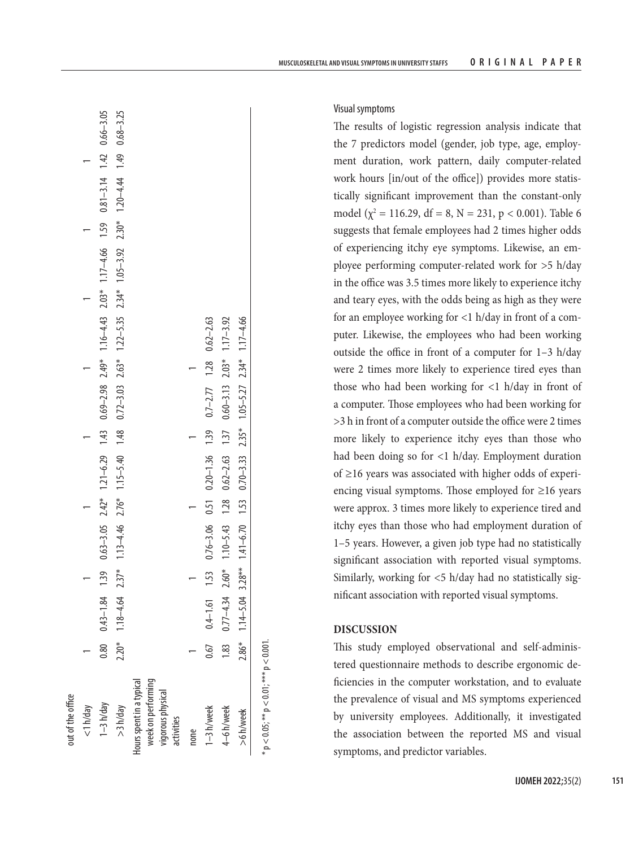| out of the office                                                                 |         |               |         |                          |         |                                         |                                                                                                                                  |                                             |  |                                      |               |
|-----------------------------------------------------------------------------------|---------|---------------|---------|--------------------------|---------|-----------------------------------------|----------------------------------------------------------------------------------------------------------------------------------|---------------------------------------------|--|--------------------------------------|---------------|
| $<$ 1 h/day                                                                       |         |               |         |                          |         |                                         |                                                                                                                                  |                                             |  |                                      |               |
| $1 - 3 h/day$                                                                     | 0.80    | $0.43 - 1.84$ | 1.39    |                          |         |                                         | $0.63-3.05$ $2.42*$ $1.21-6.29$ $1.43$ $0.69-2.98$ $2.49*$ $1.16-4.43$ $2.03*$ $1.17-4.66$ $1.59$ $0.81-3.14$ $1.42$ $0.66-3.05$ |                                             |  |                                      |               |
| >3 h/day                                                                          | $2.20*$ | $1.18 - 4.64$ | $2.37*$ | $1.13 - 4.46$            | $2.76*$ | $1.15 - 5.40$ 1.48                      |                                                                                                                                  | $0.72 - 3.03$ $2.63*$ $1.22 - 5.35$ $2.34*$ |  | $1.05-3.92$ $2.30*$ $1.20-4.44$ 1.49 | $0.68 - 3.25$ |
| week on performing<br>lours spent in a typical<br>vigorous physical<br>activities |         |               |         |                          |         |                                         |                                                                                                                                  |                                             |  |                                      |               |
| none                                                                              |         |               |         |                          |         |                                         |                                                                                                                                  |                                             |  |                                      |               |
| 1-3 h/week                                                                        | 0.67    | $0.4 - 1.61$  | 1.53    |                          |         | $0.76 - 3.06$ $0.51$ $0.20 - 1.36$ 1.39 | $0.7 - 2.77$ 1.28 $0.62 - 2.63$                                                                                                  |                                             |  |                                      |               |
| 4–6 h/week                                                                        | 1.83    | $0.77 - 4.34$ | $2.60*$ | $1.10 - 5.43$ 1.28       |         | $0.62 - 2.63$ 1.37                      | $0.60 - 3.13$ 2.03*                                                                                                              | $1.17 - 3.92$                               |  |                                      |               |
| >6 h/week                                                                         | $2.86*$ | $1.14 - 5.04$ |         | $3.28***$ 1.41-6.70 1.53 |         |                                         | $0.70-3.33$ $2.35*$ $1.05-5.27$ $2.34*$ $1.17-4.66$                                                                              |                                             |  |                                      |               |
|                                                                                   |         |               |         |                          |         |                                         |                                                                                                                                  |                                             |  |                                      |               |

 $\mathbf{S}$ 

 $*$  p  $<$  0.05;  $*$   $*$  p  $<$  0.01;  $*$   $*$  p  $<$  0.001. \*  $p < 0.05$ ; \*\*  $p < 0.01$ ; \*\*\*  $p < 0.001$ 

Visual symptoms

The results of logistic regression analysis indicate that the 7 predictors model (gender, job type, age, employ ment duration, work pattern, daily computer-related work hours [in/out of the office]) provides more statis tically significant improvement than the constant-only model ( $\chi^2$  = 116.29, df = 8, N = 231, p < 0.001). Table 6 suggests that female employees had 2 times higher odds of experiencing itchy eye symptoms. Likewise, an em ployee performing computer-related work for >5 h/day in the office was 3.5 times more likely to experience itchy and teary eyes, with the odds being as high as they were for an employee working for <1 h/day in front of a com puter. Likewise, the employees who had been working outside the office in front of a computer for  $1-3$  h/day were 2 times more likely to experience tired eyes than those who had been working for <1 h/day in front of a computer. Those employees who had been working for >3 h in front of a computer outside the office were 2 times more likely to experience itchy eyes than those who had been doing so for <1 h/day. Employment duration of ≥16 years was associated with higher odds of experi encing visual symptoms. Those employed for  $\geq 16$  years were approx. 3 times more likely to experience tired and itchy eyes than those who had employment duration of 1–5 years. However, a given job type had no statistically significant association with reported visual symptoms. Similarly, working for <5 h/day had no statistically sig nificant association with reported visual symptoms.

# **DISCUSSION**

This study employed observational and self-adminis tered questionnaire methods to describe ergonomic de ficiencies in the computer workstation, and to evaluate the prevalence of visual and MS symptoms experienced by university employees. Additionally, it investigated the association between the reported MS and visual symptoms, and predictor variables.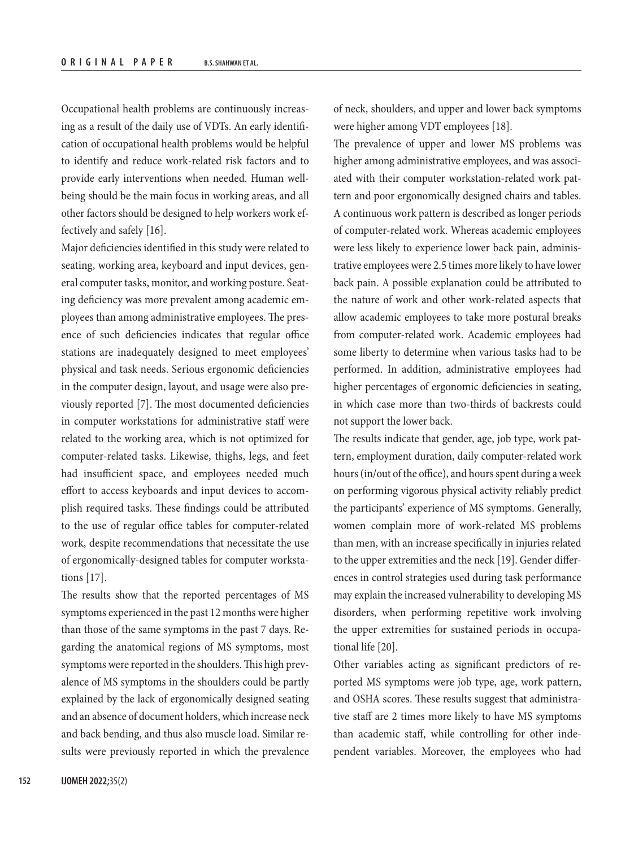Occupational health problems are continuously increasing as a result of the daily use of VDTs. An early identification of occupational health problems would be helpful to identify and reduce work-related risk factors and to provide early interventions when needed. Human wellbeing should be the main focus in working areas, and all other factors should be designed to help workers work effectively and safely [16].

Major deficiencies identified in this study were related to seating, working area, keyboard and input devices, general computer tasks, monitor, and working posture. Seating deficiency was more prevalent among academic employees than among administrative employees. The presence of such deficiencies indicates that regular office stations are inadequately designed to meet employees' physical and task needs. Serious ergonomic deficiencies in the computer design, layout, and usage were also previously reported [7]. The most documented deficiencies in computer workstations for administrative staff were related to the working area, which is not optimized for computer-related tasks. Likewise, thighs, legs, and feet had insufficient space, and employees needed much effort to access keyboards and input devices to accomplish required tasks. These findings could be attributed to the use of regular office tables for computer-related work, despite recommendations that necessitate the use of ergonomically-designed tables for computer workstations [17].

The results show that the reported percentages of MS symptoms experienced in the past 12 months were higher than those of the same symptoms in the past 7 days. Regarding the anatomical regions of MS symptoms, most symptoms were reported in the shoulders. This high prevalence of MS symptoms in the shoulders could be partly explained by the lack of ergonomically designed seating and an absence of document holders, which increase neck and back bending, and thus also muscle load. Similar results were previously reported in which the prevalence of neck, shoulders, and upper and lower back symptoms were higher among VDT employees [18].

The prevalence of upper and lower MS problems was higher among administrative employees, and was associated with their computer workstation-related work pattern and poor ergonomically designed chairs and tables. A continuous work pattern is described as longer periods of computer-related work. Whereas academic employees were less likely to experience lower back pain, administrative employees were 2.5 times more likely to have lower back pain. A possible explanation could be attributed to the nature of work and other work-related aspects that allow academic employees to take more postural breaks from computer-related work. Academic employees had some liberty to determine when various tasks had to be performed. In addition, administrative employees had higher percentages of ergonomic deficiencies in seating, in which case more than two-thirds of backrests could not support the lower back.

The results indicate that gender, age, job type, work pattern, employment duration, daily computer-related work hours (in/out of the office), and hours spent during a week on performing vigorous physical activity reliably predict the participants' experience of MS symptoms. Generally, women complain more of work-related MS problems than men, with an increase specifically in injuries related to the upper extremities and the neck [19]. Gender differences in control strategies used during task performance may explain the increased vulnerability to developing MS disorders, when performing repetitive work involving the upper extremities for sustained periods in occupational life [20].

Other variables acting as significant predictors of reported MS symptoms were job type, age, work pattern, and OSHA scores. These results suggest that administrative staff are 2 times more likely to have MS symptoms than academic staff, while controlling for other independent variables. Moreover, the employees who had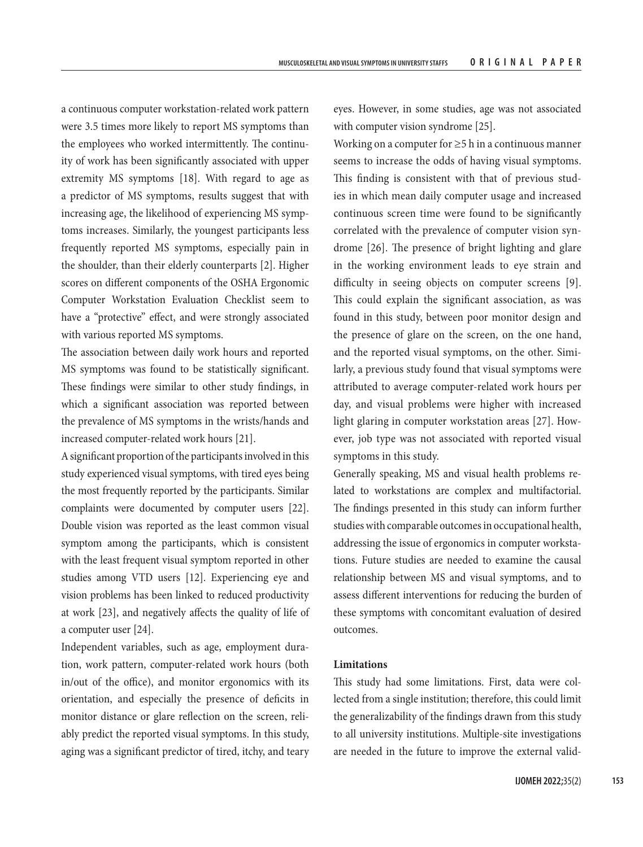a continuous computer workstation-related work pattern were 3.5 times more likely to report MS symptoms than the employees who worked intermittently. The continuity of work has been significantly associated with upper extremity MS symptoms [18]. With regard to age as a predictor of MS symptoms, results suggest that with increasing age, the likelihood of experiencing MS symptoms increases. Similarly, the youngest participants less frequently reported MS symptoms, especially pain in the shoulder, than their elderly counterparts [2]. Higher scores on different components of the OSHA Ergonomic Computer Workstation Evaluation Checklist seem to have a "protective" effect, and were strongly associated with various reported MS symptoms.

The association between daily work hours and reported MS symptoms was found to be statistically significant. These findings were similar to other study findings, in which a significant association was reported between the prevalence of MS symptoms in the wrists/hands and increased computer-related work hours [21].

A significant proportion of the participants involved in this study experienced visual symptoms, with tired eyes being the most frequently reported by the participants. Similar complaints were documented by computer users [22]. Double vision was reported as the least common visual symptom among the participants, which is consistent with the least frequent visual symptom reported in other studies among VTD users [12]. Experiencing eye and vision problems has been linked to reduced productivity at work [23], and negatively affects the quality of life of a computer user [24].

Independent variables, such as age, employment duration, work pattern, computer-related work hours (both in/out of the office), and monitor ergonomics with its orientation, and especially the presence of deficits in monitor distance or glare reflection on the screen, reliably predict the reported visual symptoms. In this study, aging was a significant predictor of tired, itchy, and teary eyes. However, in some studies, age was not associated with computer vision syndrome [25].

Working on a computer for  $\geq 5$  h in a continuous manner seems to increase the odds of having visual symptoms. This finding is consistent with that of previous studies in which mean daily computer usage and increased continuous screen time were found to be significantly correlated with the prevalence of computer vision syndrome [26]. The presence of bright lighting and glare in the working environment leads to eye strain and difficulty in seeing objects on computer screens [9]. This could explain the significant association, as was found in this study, between poor monitor design and the presence of glare on the screen, on the one hand, and the reported visual symptoms, on the other. Similarly, a previous study found that visual symptoms were attributed to average computer-related work hours per day, and visual problems were higher with increased light glaring in computer workstation areas [27]. However, job type was not associated with reported visual symptoms in this study.

Generally speaking, MS and visual health problems related to workstations are complex and multifactorial. The findings presented in this study can inform further studies with comparable outcomes in occupational health, addressing the issue of ergonomics in computer workstations. Future studies are needed to examine the causal relationship between MS and visual symptoms, and to assess different interventions for reducing the burden of these symptoms with concomitant evaluation of desired outcomes.

# **Limitations**

This study had some limitations. First, data were collected from a single institution; therefore, this could limit the generalizability of the findings drawn from this study to all university institutions. Multiple-site investigations are needed in the future to improve the external valid-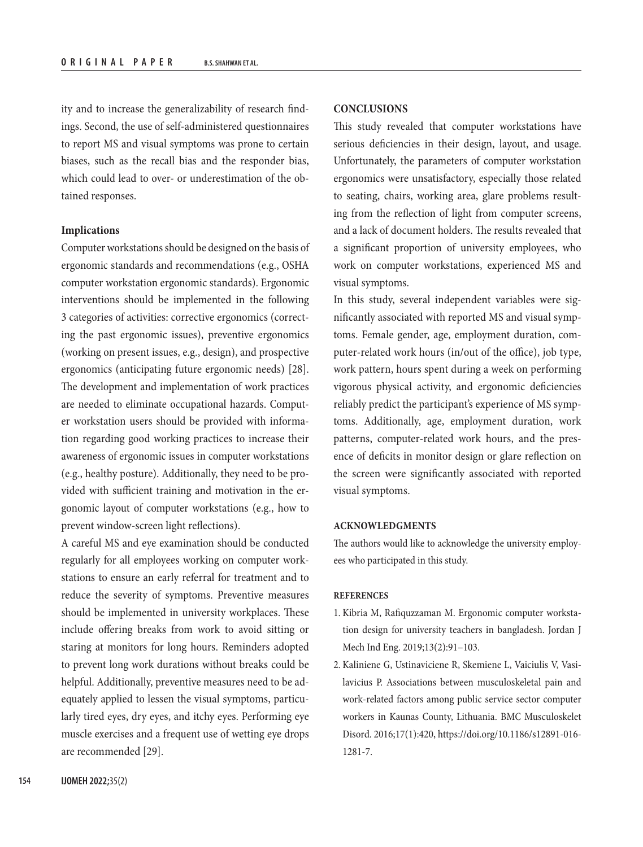ity and to increase the generalizability of research findings. Second, the use of self-administered questionnaires to report MS and visual symptoms was prone to certain biases, such as the recall bias and the responder bias, which could lead to over- or underestimation of the obtained responses.

#### **Implications**

Computer workstations should be designed on the basis of ergonomic standards and recommendations (e.g., OSHA computer workstation ergonomic standards). Ergonomic interventions should be implemented in the following 3 categories of activities: corrective ergonomics (correcting the past ergonomic issues), preventive ergonomics (working on present issues, e.g., design), and prospective ergonomics (anticipating future ergonomic needs) [28]. The development and implementation of work practices are needed to eliminate occupational hazards. Computer workstation users should be provided with information regarding good working practices to increase their awareness of ergonomic issues in computer workstations (e.g., healthy posture). Additionally, they need to be provided with sufficient training and motivation in the ergonomic layout of computer workstations (e.g., how to prevent window-screen light reflections).

A careful MS and eye examination should be conducted regularly for all employees working on computer workstations to ensure an early referral for treatment and to reduce the severity of symptoms. Preventive measures should be implemented in university workplaces. These include offering breaks from work to avoid sitting or staring at monitors for long hours. Reminders adopted to prevent long work durations without breaks could be helpful. Additionally, preventive measures need to be adequately applied to lessen the visual symptoms, particularly tired eyes, dry eyes, and itchy eyes. Performing eye muscle exercises and a frequent use of wetting eye drops are recommended [29].

## **CONCLUSIONS**

This study revealed that computer workstations have serious deficiencies in their design, layout, and usage. Unfortunately, the parameters of computer workstation ergonomics were unsatisfactory, especially those related to seating, chairs, working area, glare problems resulting from the reflection of light from computer screens, and a lack of document holders. The results revealed that a significant proportion of university employees, who work on computer workstations, experienced MS and visual symptoms.

In this study, several independent variables were significantly associated with reported MS and visual symptoms. Female gender, age, employment duration, computer-related work hours (in/out of the office), job type, work pattern, hours spent during a week on performing vigorous physical activity, and ergonomic deficiencies reliably predict the participant's experience of MS symptoms. Additionally, age, employment duration, work patterns, computer-related work hours, and the presence of deficits in monitor design or glare reflection on the screen were significantly associated with reported visual symptoms.

# **ACKNOWLEDGMENTS**

The authors would like to acknowledge the university employees who participated in this study.

#### **REFERENCES**

- 1. Kibria M, Rafiquzzaman M. Ergonomic computer workstation design for university teachers in bangladesh. Jordan J Mech Ind Eng. 2019;13(2):91–103.
- 2. Kaliniene G, Ustinaviciene R, Skemiene L, Vaiciulis V, Vasilavicius P. Associations between musculoskeletal pain and work-related factors among public service sector computer workers in Kaunas County, Lithuania. BMC Musculoskelet Disord. 2016;17(1):420, [https://doi.org/10.1186/s12891-016-](https://doi.org/10.1186/s12891-016-1281-7) [1281-7.](https://doi.org/10.1186/s12891-016-1281-7)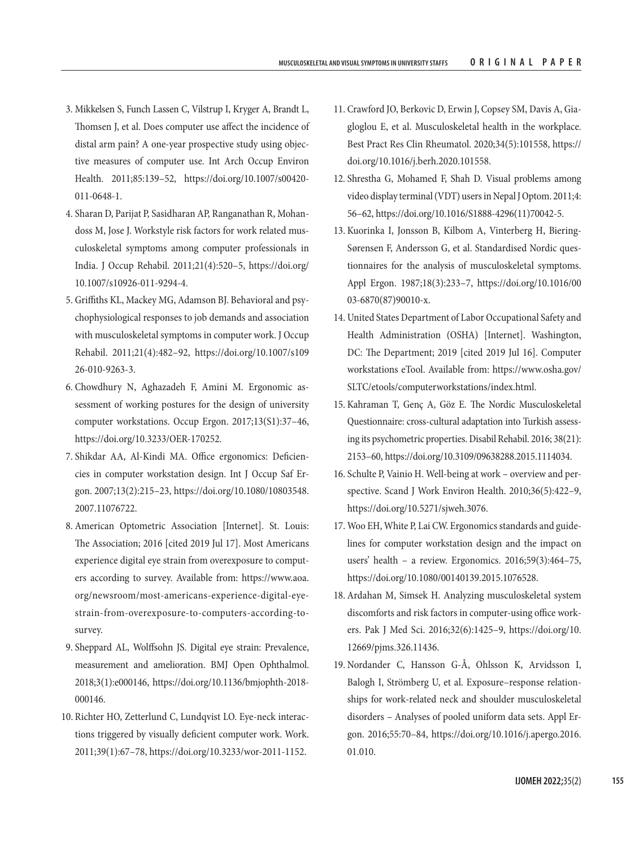- 3. Mikkelsen S, Funch Lassen C, Vilstrup I, Kryger A, Brandt L, Thomsen J, et al. Does computer use affect the incidence of distal arm pain? A one-year prospective study using objective measures of computer use. Int Arch Occup Environ Health. 2011;85:139–52, [https://doi.org/10.1007/s00420-](https://doi.org/10.1007/s00420-011-0648-1) [011-0648-1](https://doi.org/10.1007/s00420-011-0648-1).
- 4. Sharan D, Parijat P, Sasidharan AP, Ranganathan R, Mohandoss M, Jose J. Workstyle risk factors for work related musculoskeletal symptoms among computer professionals in India. J Occup Rehabil. 2011;21(4):520–5, [https://doi.org/](https://doi.org/10.1007/s10926-011-9294-4) [10.1007/s10926-011-9294-4](https://doi.org/10.1007/s10926-011-9294-4).
- 5. Griffiths KL, Mackey MG, Adamson BJ. Behavioral and psychophysiological responses to job demands and association with musculoskeletal symptoms in computer work. J Occup Rehabil. 2011;21(4):482–92, [https://doi.org/10.1007/s109](https://doi.org/10.1007/s10926-010-9263-3) [26-010-9263-3](https://doi.org/10.1007/s10926-010-9263-3).
- 6. Chowdhury N, Aghazadeh F, Amini M. Ergonomic assessment of working postures for the design of university computer workstations. Occup Ergon. 2017;13(S1):37–46, <https://doi.org/10.3233/OER-170252>.
- 7. Shikdar AA, Al-Kindi MA. Office ergonomics: Deficiencies in computer workstation design. Int J Occup Saf Ergon. 2007;13(2):215–23, [https://doi.org/10.1080/10803548.](https://doi.org/10.1080/10803548.2007.11076722) [2007.11076722.](https://doi.org/10.1080/10803548.2007.11076722)
- 8. American Optometric Association [Internet]. St. Louis: The Association; 2016 [cited 2019 Jul 17]. Most Americans experience digital eye strain from overexposure to computers according to survey. Available from: [https://www.aoa.](https://www.aoa.org/newsroom/most-americans-experience-digital-eye-strain-from-overexposure-to-computers-according-to-survey) [org/newsroom/most-americans-experience-digital-eye](https://www.aoa.org/newsroom/most-americans-experience-digital-eye-strain-from-overexposure-to-computers-according-to-survey)[strain-from-overexposure-to-computers-according-to](https://www.aoa.org/newsroom/most-americans-experience-digital-eye-strain-from-overexposure-to-computers-according-to-survey)[survey](https://www.aoa.org/newsroom/most-americans-experience-digital-eye-strain-from-overexposure-to-computers-according-to-survey).
- 9. Sheppard AL, Wolffsohn JS. Digital eye strain: Prevalence, measurement and amelioration. BMJ Open Ophthalmol. 2018;3(1):e000146, [https://doi.org/10.1136/bmjophth-2018-](https://doi.org/10.1136/bmjophth-2018-000146) [000146.](https://doi.org/10.1136/bmjophth-2018-000146)
- 10. Richter HO, Zetterlund C, Lundqvist LO. Eye-neck interactions triggered by visually deficient computer work. Work. 2011;39(1):67–78, [https://doi.org/10.3233/wor-2011-1152.](https://doi.org/10.3233/wor-2011-1152)
- 11. Crawford JO, Berkovic D, Erwin J, Copsey SM, Davis A, Giagloglou E, et al. Musculoskeletal health in the workplace. Best Pract Res Clin Rheumatol. 2020;34(5):101558, [https://](https://doi.org/10.1016/j.berh.2020.101558) [doi.org/10.1016/j.berh.2020.101558.](https://doi.org/10.1016/j.berh.2020.101558)
- 12. Shrestha G, Mohamed F, Shah D. Visual problems among video display terminal (VDT) users in Nepal J Optom. 2011;4: 56–62, [https://doi.org/10.1016/S1888-4296\(11\)70042-5](https://doi.org/10.1016/S1888-4296(11)70042-5).
- 13. Kuorinka I, Jonsson B, Kilbom A, Vinterberg H, Biering-Sørensen F, Andersson G, et al. Standardised Nordic questionnaires for the analysis of musculoskeletal symptoms. Appl Ergon. 1987;18(3):233–7, [https://doi.org/10.1016/00](https://doi.org/10.1016/0003-6870(87)90010-x) [03-6870\(87\)90010-x.](https://doi.org/10.1016/0003-6870(87)90010-x)
- 14. United States Department of Labor Occupational Safety and Health Administration (OSHA) [Internet]. Washington, DC: The Department; 2019 [cited 2019 Jul 16]. Computer workstations eTool. Available from: [https://www.osha.gov/](https://www.osha.gov/SLTC/etools/computerworkstations/index.html) [SLTC/etools/computerworkstations/index.html.](https://www.osha.gov/SLTC/etools/computerworkstations/index.html)
- 15. Kahraman T, Genç A, Göz E. The Nordic Musculoskeletal Questionnaire: cross-cultural adaptation into Turkish assessing its psychometric properties. Disabil Rehabil. 2016; 38(21): 2153–60, <https://doi.org/10.3109/09638288.2015.1114034>.
- 16. Schulte P, Vainio H. Well-being at work overview and perspective. Scand J Work Environ Health. 2010;36(5):422–9, <https://doi.org/10.5271/sjweh.3076>.
- 17. Woo EH, White P, Lai CW. Ergonomics standards and guidelines for computer workstation design and the impact on users' health – a review. Ergonomics. 2016;59(3):464–75, [https://doi.org/10.1080/00140139.2015.1076528.](https://doi.org/10.1080/00140139.2015.1076528)
- 18. Ardahan M, Simsek H. Analyzing musculoskeletal system discomforts and risk factors in computer-using office workers. Pak J Med Sci. 2016;32(6):1425–9, [https://doi.org/10.](https://doi.org/10.12669/pjms.326.11436) [12669/pjms.326.11436.](https://doi.org/10.12669/pjms.326.11436)
- 19. Nordander C, Hansson G-Å, Ohlsson K, Arvidsson I, Balogh I, Strömberg U, et al. Exposure–response relationships for work-related neck and shoulder musculoskeletal disorders – Analyses of pooled uniform data sets. Appl Ergon. 2016;55:70–84, [https://doi.org/10.1016/j.apergo.2016.](https://doi.org/10.1016/j.apergo.2016.01.010) [01.010](https://doi.org/10.1016/j.apergo.2016.01.010).